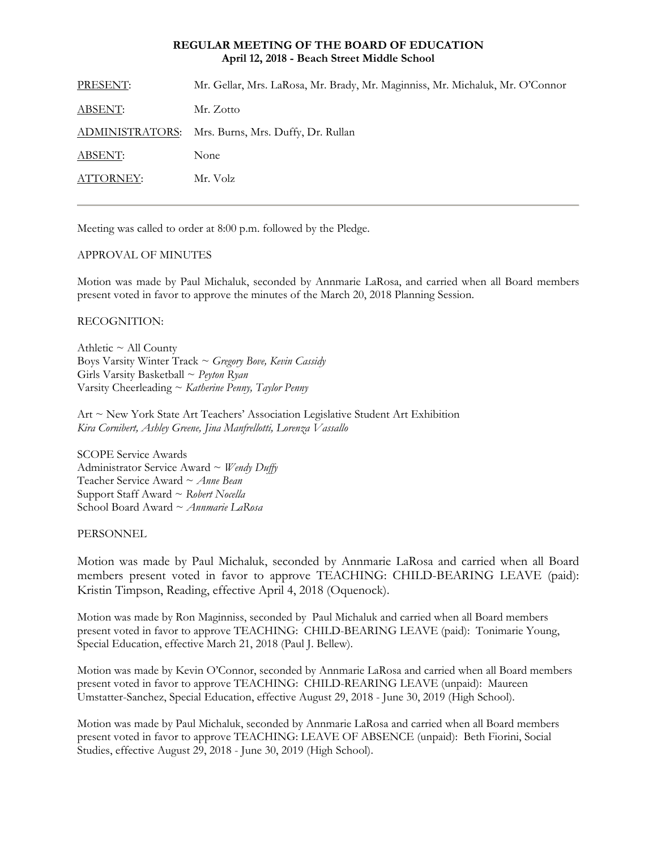## **REGULAR MEETING OF THE BOARD OF EDUCATION April 12, 2018 - Beach Street Middle School**

| PRESENT:       | Mr. Gellar, Mrs. LaRosa, Mr. Brady, Mr. Maginniss, Mr. Michaluk, Mr. O'Connor |
|----------------|-------------------------------------------------------------------------------|
| <b>ABSENT:</b> | Mr. Zotto                                                                     |
|                | ADMINISTRATORS: Mrs. Burns, Mrs. Duffy, Dr. Rullan                            |
| ABSENT:        | None                                                                          |
| ATTORNEY:      | Mr. Volz                                                                      |
|                |                                                                               |

Meeting was called to order at 8:00 p.m. followed by the Pledge.

### APPROVAL OF MINUTES

Motion was made by Paul Michaluk, seconded by Annmarie LaRosa, and carried when all Board members present voted in favor to approve the minutes of the March 20, 2018 Planning Session.

# RECOGNITION:

Athletic  $\sim$  All County Boys Varsity Winter Track ~ *Gregory Bove, Kevin Cassidy* Girls Varsity Basketball ~ *Peyton Ryan* Varsity Cheerleading ~ *Katherine Penny, Taylor Penny*

Art ~ New York State Art Teachers' Association Legislative Student Art Exhibition *Kira Cornibert, Ashley Greene, Jina Manfrellotti, Lorenza Vassallo* 

SCOPE Service Awards Administrator Service Award ~ *Wendy Duffy* Teacher Service Award ~ *Anne Bean* Support Staff Award ~ *Robert Nocella* School Board Award ~ *Annmarie LaRosa*

PERSONNEL

Motion was made by Paul Michaluk, seconded by Annmarie LaRosa and carried when all Board members present voted in favor to approve TEACHING: CHILD-BEARING LEAVE (paid): Kristin Timpson, Reading, effective April 4, 2018 (Oquenock).

Motion was made by Ron Maginniss, seconded by Paul Michaluk and carried when all Board members present voted in favor to approve TEACHING: CHILD-BEARING LEAVE (paid): Tonimarie Young, Special Education, effective March 21, 2018 (Paul J. Bellew).

Motion was made by Kevin O'Connor, seconded by Annmarie LaRosa and carried when all Board members present voted in favor to approve TEACHING: CHILD-REARING LEAVE (unpaid): Maureen Umstatter-Sanchez, Special Education, effective August 29, 2018 - June 30, 2019 (High School).

Motion was made by Paul Michaluk, seconded by Annmarie LaRosa and carried when all Board members present voted in favor to approve TEACHING: LEAVE OF ABSENCE (unpaid): Beth Fiorini, Social Studies, effective August 29, 2018 - June 30, 2019 (High School).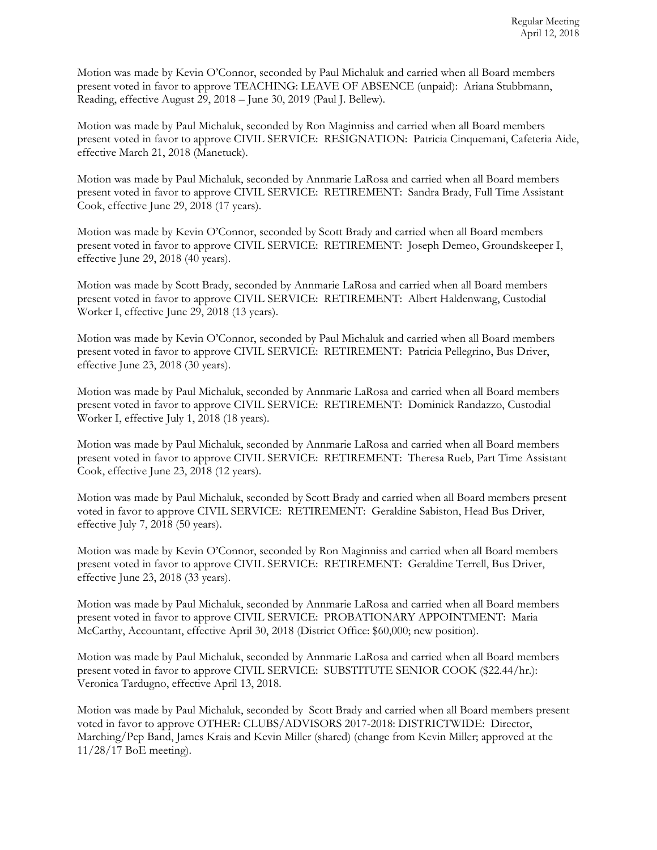Motion was made by Kevin O'Connor, seconded by Paul Michaluk and carried when all Board members present voted in favor to approve TEACHING: LEAVE OF ABSENCE (unpaid): Ariana Stubbmann, Reading, effective August 29, 2018 – June 30, 2019 (Paul J. Bellew).

Motion was made by Paul Michaluk, seconded by Ron Maginniss and carried when all Board members present voted in favor to approve CIVIL SERVICE: RESIGNATION: Patricia Cinquemani, Cafeteria Aide, effective March 21, 2018 (Manetuck).

Motion was made by Paul Michaluk, seconded by Annmarie LaRosa and carried when all Board members present voted in favor to approve CIVIL SERVICE: RETIREMENT: Sandra Brady, Full Time Assistant Cook, effective June 29, 2018 (17 years).

Motion was made by Kevin O'Connor, seconded by Scott Brady and carried when all Board members present voted in favor to approve CIVIL SERVICE: RETIREMENT: Joseph Demeo, Groundskeeper I, effective June 29, 2018 (40 years).

Motion was made by Scott Brady, seconded by Annmarie LaRosa and carried when all Board members present voted in favor to approve CIVIL SERVICE: RETIREMENT: Albert Haldenwang, Custodial Worker I, effective June 29, 2018 (13 years).

Motion was made by Kevin O'Connor, seconded by Paul Michaluk and carried when all Board members present voted in favor to approve CIVIL SERVICE: RETIREMENT: Patricia Pellegrino, Bus Driver, effective June 23, 2018 (30 years).

Motion was made by Paul Michaluk, seconded by Annmarie LaRosa and carried when all Board members present voted in favor to approve CIVIL SERVICE: RETIREMENT: Dominick Randazzo, Custodial Worker I, effective July 1, 2018 (18 years).

Motion was made by Paul Michaluk, seconded by Annmarie LaRosa and carried when all Board members present voted in favor to approve CIVIL SERVICE: RETIREMENT: Theresa Rueb, Part Time Assistant Cook, effective June 23, 2018 (12 years).

Motion was made by Paul Michaluk, seconded by Scott Brady and carried when all Board members present voted in favor to approve CIVIL SERVICE: RETIREMENT: Geraldine Sabiston, Head Bus Driver, effective July 7, 2018 (50 years).

Motion was made by Kevin O'Connor, seconded by Ron Maginniss and carried when all Board members present voted in favor to approve CIVIL SERVICE: RETIREMENT: Geraldine Terrell, Bus Driver, effective June 23, 2018 (33 years).

Motion was made by Paul Michaluk, seconded by Annmarie LaRosa and carried when all Board members present voted in favor to approve CIVIL SERVICE: PROBATIONARY APPOINTMENT: Maria McCarthy, Accountant, effective April 30, 2018 (District Office: \$60,000; new position).

Motion was made by Paul Michaluk, seconded by Annmarie LaRosa and carried when all Board members present voted in favor to approve CIVIL SERVICE: SUBSTITUTE SENIOR COOK (\$22.44/hr.): Veronica Tardugno, effective April 13, 2018.

Motion was made by Paul Michaluk, seconded by Scott Brady and carried when all Board members present voted in favor to approve OTHER: CLUBS/ADVISORS 2017-2018: DISTRICTWIDE: Director, Marching/Pep Band, James Krais and Kevin Miller (shared) (change from Kevin Miller; approved at the 11/28/17 BoE meeting).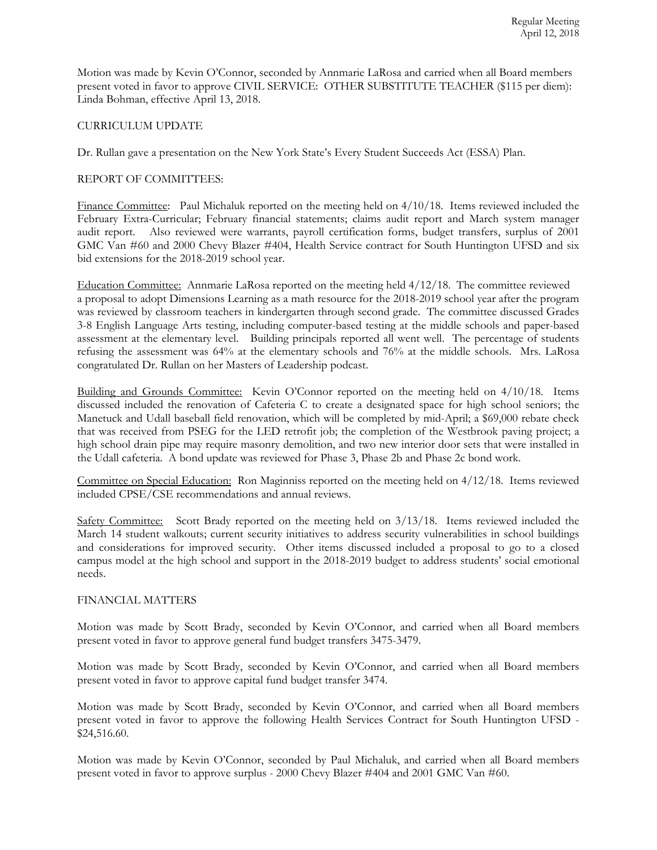Motion was made by Kevin O'Connor, seconded by Annmarie LaRosa and carried when all Board members present voted in favor to approve CIVIL SERVICE: OTHER SUBSTITUTE TEACHER (\$115 per diem): Linda Bohman, effective April 13, 2018.

## CURRICULUM UPDATE

Dr. Rullan gave a presentation on the New York State's Every Student Succeeds Act (ESSA) Plan.

# REPORT OF COMMITTEES:

Finance Committee: Paul Michaluk reported on the meeting held on  $4/10/18$ . Items reviewed included the February Extra-Curricular; February financial statements; claims audit report and March system manager audit report. Also reviewed were warrants, payroll certification forms, budget transfers, surplus of 2001 GMC Van #60 and 2000 Chevy Blazer #404, Health Service contract for South Huntington UFSD and six bid extensions for the 2018-2019 school year.

Education Committee: Annmarie LaRosa reported on the meeting held 4/12/18. The committee reviewed a proposal to adopt Dimensions Learning as a math resource for the 2018-2019 school year after the program was reviewed by classroom teachers in kindergarten through second grade. The committee discussed Grades 3-8 English Language Arts testing, including computer-based testing at the middle schools and paper-based assessment at the elementary level. Building principals reported all went well. The percentage of students refusing the assessment was 64% at the elementary schools and 76% at the middle schools. Mrs. LaRosa congratulated Dr. Rullan on her Masters of Leadership podcast.

Building and Grounds Committee: Kevin O'Connor reported on the meeting held on  $4/10/18$ . Items discussed included the renovation of Cafeteria C to create a designated space for high school seniors; the Manetuck and Udall baseball field renovation, which will be completed by mid-April; a \$69,000 rebate check that was received from PSEG for the LED retrofit job; the completion of the Westbrook paving project; a high school drain pipe may require masonry demolition, and two new interior door sets that were installed in the Udall cafeteria. A bond update was reviewed for Phase 3, Phase 2b and Phase 2c bond work.

Committee on Special Education: Ron Maginniss reported on the meeting held on 4/12/18. Items reviewed included CPSE/CSE recommendations and annual reviews.

Safety Committee: Scott Brady reported on the meeting held on  $3/13/18$ . Items reviewed included the March 14 student walkouts; current security initiatives to address security vulnerabilities in school buildings and considerations for improved security. Other items discussed included a proposal to go to a closed campus model at the high school and support in the 2018-2019 budget to address students' social emotional needs.

### FINANCIAL MATTERS

Motion was made by Scott Brady, seconded by Kevin O'Connor, and carried when all Board members present voted in favor to approve general fund budget transfers 3475-3479.

Motion was made by Scott Brady, seconded by Kevin O'Connor, and carried when all Board members present voted in favor to approve capital fund budget transfer 3474.

Motion was made by Scott Brady, seconded by Kevin O'Connor, and carried when all Board members present voted in favor to approve the following Health Services Contract for South Huntington UFSD - \$24,516.60.

Motion was made by Kevin O'Connor, seconded by Paul Michaluk, and carried when all Board members present voted in favor to approve surplus - 2000 Chevy Blazer #404 and 2001 GMC Van #60.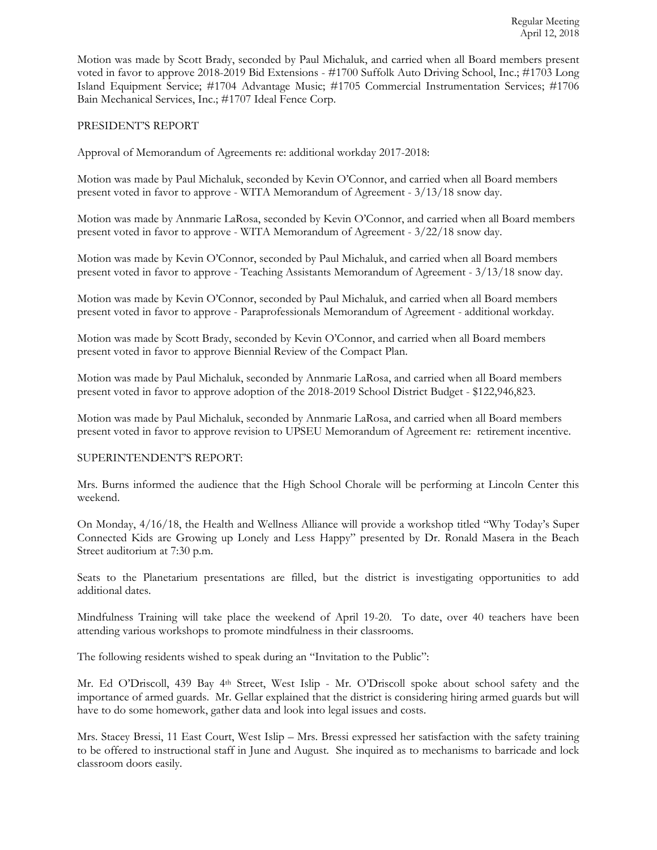Motion was made by Scott Brady, seconded by Paul Michaluk, and carried when all Board members present voted in favor to approve 2018-2019 Bid Extensions - #1700 Suffolk Auto Driving School, Inc.; #1703 Long Island Equipment Service; #1704 Advantage Music; #1705 Commercial Instrumentation Services; #1706 Bain Mechanical Services, Inc.; #1707 Ideal Fence Corp.

## PRESIDENT'S REPORT

Approval of Memorandum of Agreements re: additional workday 2017-2018:

Motion was made by Paul Michaluk, seconded by Kevin O'Connor, and carried when all Board members present voted in favor to approve - WITA Memorandum of Agreement - 3/13/18 snow day.

Motion was made by Annmarie LaRosa, seconded by Kevin O'Connor, and carried when all Board members present voted in favor to approve - WITA Memorandum of Agreement - 3/22/18 snow day.

Motion was made by Kevin O'Connor, seconded by Paul Michaluk, and carried when all Board members present voted in favor to approve - Teaching Assistants Memorandum of Agreement - 3/13/18 snow day.

Motion was made by Kevin O'Connor, seconded by Paul Michaluk, and carried when all Board members present voted in favor to approve - Paraprofessionals Memorandum of Agreement - additional workday.

Motion was made by Scott Brady, seconded by Kevin O'Connor, and carried when all Board members present voted in favor to approve Biennial Review of the Compact Plan.

Motion was made by Paul Michaluk, seconded by Annmarie LaRosa, and carried when all Board members present voted in favor to approve adoption of the 2018-2019 School District Budget - \$122,946,823.

Motion was made by Paul Michaluk, seconded by Annmarie LaRosa, and carried when all Board members present voted in favor to approve revision to UPSEU Memorandum of Agreement re: retirement incentive.

### SUPERINTENDENT'S REPORT:

Mrs. Burns informed the audience that the High School Chorale will be performing at Lincoln Center this weekend.

On Monday, 4/16/18, the Health and Wellness Alliance will provide a workshop titled "Why Today's Super Connected Kids are Growing up Lonely and Less Happy" presented by Dr. Ronald Masera in the Beach Street auditorium at 7:30 p.m.

Seats to the Planetarium presentations are filled, but the district is investigating opportunities to add additional dates.

Mindfulness Training will take place the weekend of April 19-20. To date, over 40 teachers have been attending various workshops to promote mindfulness in their classrooms.

The following residents wished to speak during an "Invitation to the Public":

Mr. Ed O'Driscoll, 439 Bay 4<sup>th</sup> Street, West Islip - Mr. O'Driscoll spoke about school safety and the importance of armed guards. Mr. Gellar explained that the district is considering hiring armed guards but will have to do some homework, gather data and look into legal issues and costs.

Mrs. Stacey Bressi, 11 East Court, West Islip – Mrs. Bressi expressed her satisfaction with the safety training to be offered to instructional staff in June and August. She inquired as to mechanisms to barricade and lock classroom doors easily.